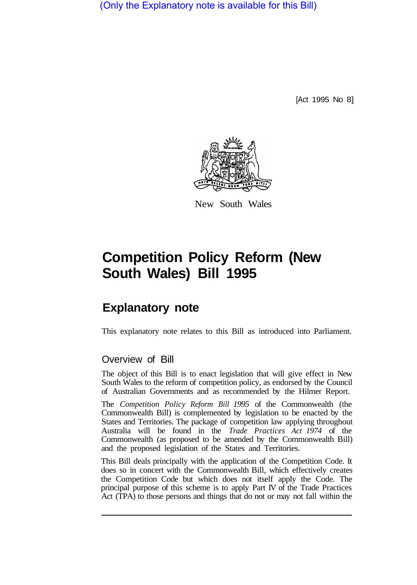(Only the Explanatory note is available for this Bill)

[Act 1995 No 8]



New South Wales

# **Competition Policy Reform (New South Wales) Bill 1995**

# **Explanatory note**

This explanatory note relates to this Bill as introduced into Parliament.

# Overview of Bill

The object of this Bill is to enact legislation that will give effect in New South Wales to the reform of competition policy, as endorsed by the Council of Australian Governments and as recommended by the Hilmer Report.

The *Competition Policy Reform Bill 1995* of the Commonwealth (the Commonwealth Bill) is complemented by legislation to be enacted by the States and Territories. The package of competition law applying throughout Australia will be found in the *Trade Practices Act 1974* of the Commonwealth (as proposed to be amended by the Commonwealth Bill) and the proposed legislation of the States and Territories.

This Bill deals principally with the application of the Competition Code. It does so in concert with the Commonwealth Bill, which effectively creates the Competition Code but which does not itself apply the Code. The principal purpose of this scheme is to apply Part IV of the Trade Practices Act (TPA) to those persons and things that do not or may not fall within the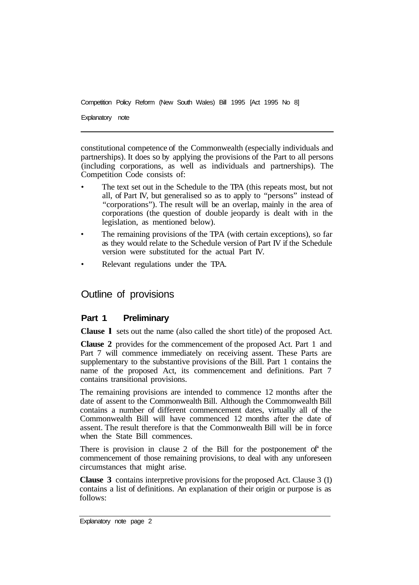Explanatory note

constitutional competence of the Commonwealth (especially individuals and partnerships). It does so by applying the provisions of the Part to all persons (including corporations, as well as individuals and partnerships). The Competition Code consists of:

- The text set out in the Schedule to the TPA (this repeats most, but not all, of Part IV, but generalised so as to apply to "persons" instead of "corporations"). The result will be an overlap, mainly in the area of corporations (the question of double jeopardy is dealt with in the legislation, as mentioned below).
- The remaining provisions of the TPA (with certain exceptions), so far as they would relate to the Schedule version of Part IV if the Schedule version were substituted for the actual Part IV.
- Relevant regulations under the TPA.

Outline of provisions

# **Part 1 Preliminary**

**Clause l** sets out the name (also called the short title) of the proposed Act.

**Clause 2** provides for the commencement of the proposed Act. Part 1 and Part 7 will commence immediately on receiving assent. These Parts are supplementary to the substantive provisions of the Bill. Part 1 contains the name of the proposed Act, its commencement and definitions. Part 7 contains transitional provisions.

The remaining provisions are intended to commence 12 months after the date of assent to the Commonwealth Bill. Although the Commonwealth Bill contains a number of different commencement dates, virtually all of the Commonwealth Bill will have commenced 12 months after the date of assent. The result therefore is that the Commonwealth Bill will be in force when the State Bill commences.

There is provision in clause 2 of the Bill for the postponement of' the commencement of those remaining provisions, to deal with any unforeseen circumstances that might arise.

**Clause 3** contains interpretive provisions for the proposed Act. Clause 3 (1) contains a list of definitions. An explanation of their origin or purpose is as follows: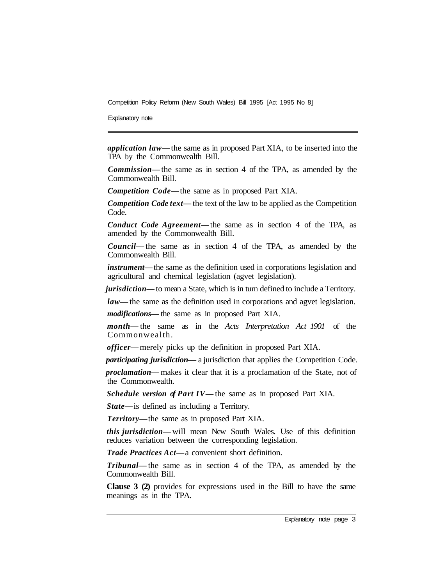Explanatory note

*application law—* the same as in proposed Part XIA, to be inserted into the TPA by the Commonwealth Bill.

*Commission—* the same as in section 4 of the TPA, as amended by the Commonwealth Bill.

*Competition Code—* the same as in proposed Part XIA.

*Competition Code text*— the text of the law to be applied as the Competition Code.

*Conduct Code Agreement—* the same as in section 4 of the TPA, as amended by the Commonwealth Bill.

*Council—* the same as in section 4 of the TPA, as amended by the Commonwealth Bill.

*instrument*— the same as the definition used in corporations legislation and agriculturaI and chemical legislation (agvet legislation).

*jurisdiction—* to mean a State, which is in turn defined to include a Territory.

*law—* the same as the definition used in corporations and agvet legislation.

*modifications—* the same as in proposed Part XIA.

*month—* the same as in the *Acts Interpretation Act 1901* of the Commonwealth.

*officer—* merely picks up the definition in proposed Part XIA.

*participating jurisdiction—* a jurisdiction that applies the Competition Code.

*proclamation—* makes it clear that it is a proclamation of the State, not of the Commonwealth.

*Schedule version of Part IV—* the same as in proposed Part XIA.

*State—* is defined as including a Territory.

*Territory—* the same as in proposed Part XIA.

*this jurisdiction—* will mean New South Wales. Use of this definition reduces variation between the corresponding legislation.

*Trade Practices Act—* a convenient short definition.

*Tribunal—* the same as in section 4 of the TPA, as amended by the Commonwealth Bill.

**Clause 3 (2)** provides for expressions used in the Bill to have the same meanings as in the TPA.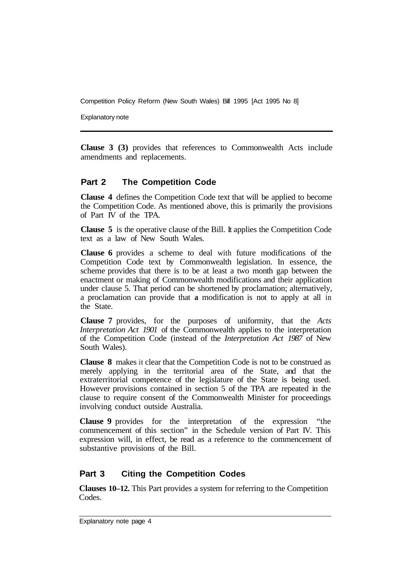Explanatory note

**Clause 3 (3)** provides that references to Commonwealth Acts include amendments and replacements.

#### **Part 2 The Competition Code**

**Clause 4** defines the Competition Code text that will be applied to become the Competition Code. As mentioned above, this is primarily the provisions of Part IV of the TPA.

**Clause 5** is the operative clause of the Bill. It applies the Competition Code text as a law of New South Wales.

**Clause 6** provides a scheme to deal with future modifications of the Competition Code text by Commonwealth legislation. In essence, the scheme provides that there is to be at least a two month gap between the enactment or making of Commonwealth modifications and their application under clause 5. That period can be shortened by proclamation; alternatively, a proclamation can provide that **a** modification is not to apply at all in the State.

**Clause 7** provides, for the purposes of uniformity, that the *Acts Interpretation Act 1901* of the Commonwealth applies to the interpretation of the Competition Code (instead of the *Interpretation Act 1987* of New South Wales).

**Clause 8** makes it clear that the Competition Code is not to be construed as merely applying in the territorial area of the State, and that the extraterritorial competence of the legislature of the State is being used. However provisions contained in section 5 of the TPA are repeated in the clause to require consent of the Commonwealth Minister for proceedings involving conduct outside Australia.

**Clause 9** provides for the interpretation of the expression "the commencement of this section" in the Schedule version of Part IV. This expression will, in effect, be read as a reference to the commencement of substantive provisions of the Bill.

# **Part 3 Citing the Competition Codes**

**Clauses 10–12.** This Part provides a system for referring to the Competition Codes.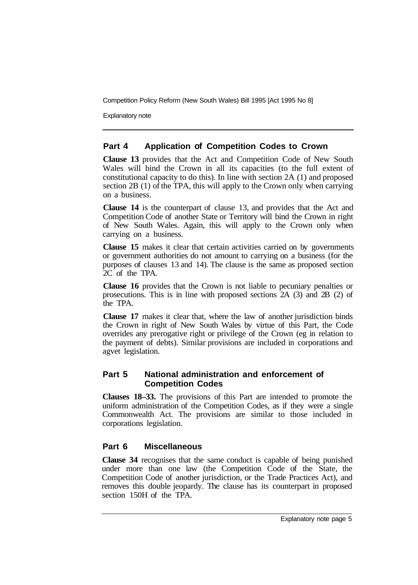Explanatory note

#### **Part 4 Application of Competition Codes to Crown**

**Clause 13** provides that the Act and Competition Code of New South Wales will bind the Crown in all its capacities (to the full extent of constitutional capacity to do this). In line with section 2A (1) and proposed section 2B (1) of the TPA, this will apply to the Crown only when carrying on a business.

**Clause 14** is the counterpart of clause 13, and provides that the Act and Competition Code of another State or Territory will bind the Crown in right of New South Wales. Again, this will apply to the Crown only when carrying on a business.

**Clause 15** makes it clear that certain activities carried on by governments or government authorities do not amount to carrying on a business (for the purposes of clauses 13 and 14). The clause is the same as proposed section 2C of the TPA.

**Clause 16** provides that the Crown is not liable to pecuniary penalties or prosecutions. This is in line with proposed sections 2A (3) and 2B (2) of the TPA.

**Clause 17** makes it clear that, where the law of another jurisdiction binds the Crown in right of New South Wales by virtue of this Part, the Code overrides any prerogative right or privilege of the Crown (eg in relation to the payment of debts). Similar provisions are included in corporations and agvet legislation.

#### **Part 5 National administration and enforcement of Competition Codes**

**Clauses 18–33.** The provisions of this Part are intended to promote the uniform administration of the Competition Codes, as if they were a single Commonwealth Act. The provisions are similar to those included in corporations legislation.

#### **Part 6 Miscellaneous**

**Clause 34** recognises that the same conduct is capable of being punished under more than one law (the Competition Code of the State, the Competition Code of another jurisdiction, or the Trade Practices Act), and removes this double jeopardy. The clause has its counterpart in proposed section 150H of the TPA.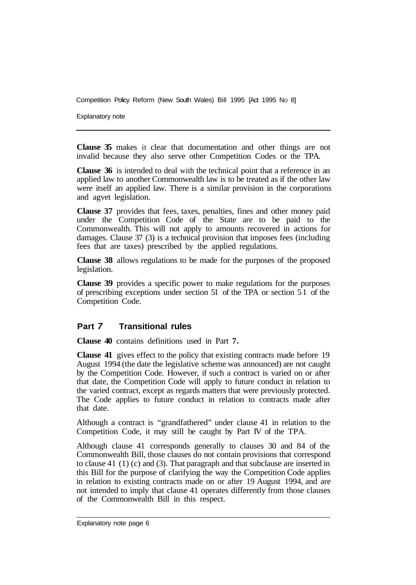Explanatory note

**Clause 35** makes it clear that documentation and other things are not invalid because they also serve other Competition Codes or the TPA.

**Clause 36** is intended to deal with the technical point that a reference in an applied law to another Commonwealth law is to be treated as if the other law were itself an applied law. There is a similar provision in the corporations and agvet legislation.

**Clause 37** provides that fees, taxes, penalties, fines and other money paid under the Competition Code of the State are to be paid to the Commonwealth. This will not apply to amounts recovered in actions for damages. Clause 37 (3) is a technical provision that imposes fees (including fees that are taxes) prescribed by the applied regulations.

**Clause 38** allows regulations to be made for the purposes of the proposed legislation.

**Clause 39** provides a specific power to make regulations for the purposes of prescribing exceptions under section 51 of the TPA or section 5 1 of the Competition Code.

#### **Part** *7* **Transitional rules**

**Clause 40** contains definitions used in Part **7.** 

**Clause 41** gives effect to the policy that existing contracts made before 19 August 1994 (the date the legislative scheme was announced) are not caught by the Competition Code. However, if such a contract is varied on or after that date, the Competition Code will apply to future conduct in relation to the varied contract, except as regards matters that were previously protected. The Code applies to future conduct in relation to contracts made after that date.

Although a contract is "grandfathered" under clause 41 in relation to the Competition Code, it may still be caught by Part IV of the TPA.

Although clause 41 corresponds generally to clauses 30 and 84 of the Commonwealth Bill, those clauses do not contain provisions that correspond to clause 41 (1) (c) and (3). That paragraph and that subclause are inserted in this Bill for the purpose of clarifying the way the Competition Code applies in relation to existing contracts made on or after 19 August 1994, and are not intended to imply that clause 41 operates differently from those clauses of the Commonwealth Bill in this respect.

Explanatory note page 6